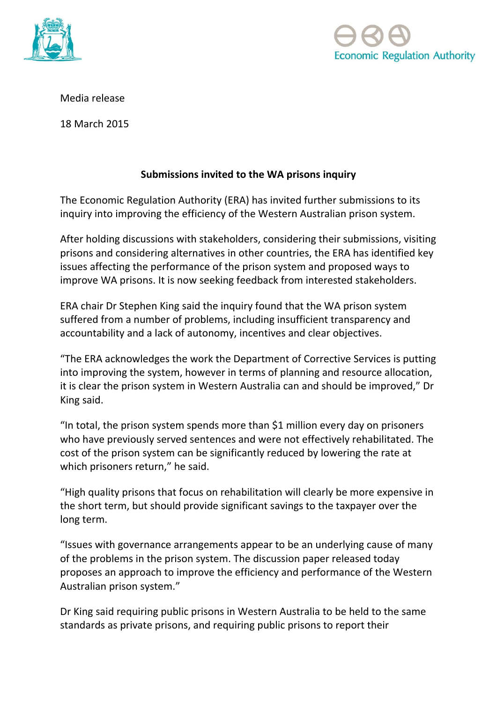



Media release

18 March 2015

## **Submissions invited to the WA prisons inquiry**

The Economic Regulation Authority (ERA) has invited further submissions to its inquiry into improving the efficiency of the Western Australian prison system.

After holding discussions with stakeholders, considering their submissions, visiting prisons and considering alternatives in other countries, the ERA has identified key issues affecting the performance of the prison system and proposed ways to improve WA prisons. It is now seeking feedback from interested stakeholders.

ERA chair Dr Stephen King said the inquiry found that the WA prison system suffered from a number of problems, including insufficient transparency and accountability and a lack of autonomy, incentives and clear objectives.

"The ERA acknowledges the work the Department of Corrective Services is putting into improving the system, however in terms of planning and resource allocation, it is clear the prison system in Western Australia can and should be improved," Dr King said.

"In total, the prison system spends more than \$1 million every day on prisoners who have previously served sentences and were not effectively rehabilitated. The cost of the prison system can be significantly reduced by lowering the rate at which prisoners return," he said.

"High quality prisons that focus on rehabilitation will clearly be more expensive in the short term, but should provide significant savings to the taxpayer over the long term.

"Issues with governance arrangements appear to be an underlying cause of many of the problems in the prison system. The discussion paper released today proposes an approach to improve the efficiency and performance of the Western Australian prison system."

Dr King said requiring public prisons in Western Australia to be held to the same standards as private prisons, and requiring public prisons to report their